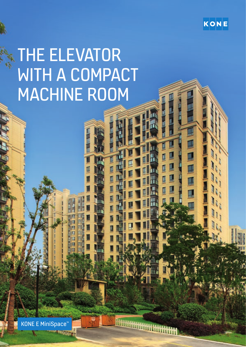

医单侧侧侧

# THE ELEVATOR WITH A COMPACT MACHINE ROOM

KONE E MiniSpace™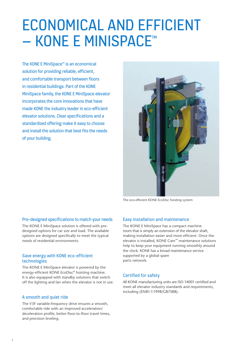# ECONOMICAL AND EFFICIENT – KONE E MINISPACE™

The KONE E MiniSpace™ is an economical solution for providing reliable, efficient, and comfortable transport between floors in residential buildings. Part of the KONE MiniSpace family, the KONE E MiniSpace elevator incorporates the core innovations that have made KONE the industry leader in eco-efficient elevator solutions. Clear specifications and a standardized offering make it easy to choose and install the solution that best fits the needs of your building.



The eco-efficient KONE EcoDisc hoisting system

### Pre-designed specifications to match your needs

The KONE E MiniSpace solution is offered with predesigned options for car size and load. The available options are designed specifically to meet the typical needs of residential environments.

### Save energy with KONE eco-efficient technologies

The KONE E MiniSpace elevator is powered by the energy-efficient KONE EcoDisc® hoisting machine. It is also equipped with standby solutions that switch off the lighting and fan when the elevator is not in use.

### A smooth and quiet ride

The V3F variable-frequency drive ensures a smooth, comfortable ride with an improved acceleration/ deceleration profile, better floor-to-floor travel times, and precision leveling.

### Easy installation and maintenance

The KONE E MiniSpace has a compact machine room that is simply an extension of the elevator shaft, making installation easier and more efficient. Once the elevator is installed, KONE Care™ maintenance solutions help to keep your equipment running smoothly around the clock. KONE has a broad maintenance service supported by a global spare parts network.

### Certified for safety

All KONE manufacturing units are ISO 14001 certified and meet all elevator industry standards and requirements, including (EN81-1:1998/GB7588).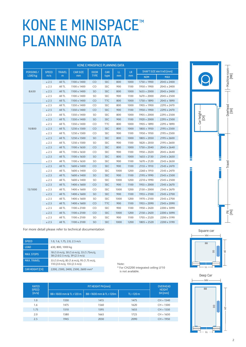## KONE E MINISPACE™ PLANNING DATA

| <b>KONE E MINISPACE PLANNING DATA</b> |              |               |                    |             |            |           |                 |                         |             |
|---------------------------------------|--------------|---------------|--------------------|-------------|------------|-----------|-----------------|-------------------------|-------------|
| PERSONS/                              | <b>SPEED</b> | <b>TRAVEL</b> | <b>CAR SIZE</b>    | <b>DOOR</b> | <b>CAR</b> | LL.<br>mm | <b>LR</b><br>mm | SHAFT SIZE WW X WD (mm) |             |
| LOAD kg                               | m/s          | m             | mm                 | <b>TYPE</b> | type       |           |                 | <b>NOM</b>              | <b>MAX</b>  |
|                                       | $\leq 2.5$   | All TL        | 1100 x 1400        | CO          | <b>SEC</b> | 800       | 1000            | $1750 \times 1900$      | 2045 x 2400 |
|                                       | $\leq 2.5$   | All TL        | $1100 \times 1400$ | CO          | <b>SEC</b> | 900       | 1100            | $1950 \times 1900$      | 2045 x 2400 |
| 8/630                                 | $\leq 2.5$   | All TL        | $1100 \times 1400$ | <b>SO</b>   | <b>SEC</b> | 800       | 1000            | $1655 \times 2000$      | 2045 x 2400 |
|                                       | $\leq 2.5$   | All TL        | 1100 x 1400        | <b>SO</b>   | SEC        | 900       | 1100            | $1670 \times 2000$      | 2045 x 2500 |
|                                       | $\leq 2.5$   | All TL        | 1100 x 1400        | CO          | <b>TTC</b> | 800       | 1000            | $1750 \times 1890$      | 2045 x 1890 |
|                                       | $\leq 2.5$   | All TL        | 1350 x 1400        | CO          | SEC        | 800       | 1000            | $1905 \times 1900$      | 2295 x 2470 |
|                                       | $\leq 2.5$   | All TL        | 1350 x 1400        | CO          | <b>SEC</b> | 900       | 1100            | $1950 \times 1900$      | 2295 x 2470 |
|                                       | $\leq 2.5$   | All TL        | 1350 x 1400        | SO          | SEC        | 800       | 1000            | $1905 \times 2000$      | 2295 x 2500 |
|                                       | $\leq 2.5$   | All TL        | 1350 x 1400        | SO          | <b>SEC</b> | 900       | 1100            | $1920 \times 2000$      | 2295 x 2500 |
|                                       | $\leq 2.5$   | All TL        | 1350 x 1400        | CO          | <b>TTC</b> | 800       | 1000            | $1905 \times 1890$      | 2295 x 1890 |
| 10/800                                | $\leq 2.5$   | All TL        | 1250 x 1500        | CO          | <b>SEC</b> | 800       | 1000            | $1805 \times 1950$      | 2195 x 2500 |
|                                       | $\leq 2.5$   | All TL        | 1250 x 1500        | CO          | <b>SEC</b> | 900       | 1100            | $1950 \times 1950$      | 2195 x 2500 |
|                                       | $\leq 2.5$   | All TL        | 1250 x 1500        | SO          | <b>SEC</b> | 800       | 1000            | $1805 \times 2050$      | 2195 x 2600 |
|                                       | $\leq 2.5$   | All TL        | 1250 x 1500        | SO          | SEC        | 900       | 1100            | $1820 \times 2050$      | 2195 x 2600 |
|                                       | $\leq 2.5$   | All TL        | 1100 x 1650        | CO          | <b>SEC</b> | 800       | 1000            | $1750 \times 2040$      | 2045 x 2640 |
|                                       | $\leq 2.5$   | All TL        | 1100 x 1650        | CO.         | SEC        | 900       | 1100            | $1950 \times 2020$      | 2045 x 2640 |
|                                       | $\leq 2.5$   | All TL        | 1100 x 1650        | <b>SO</b>   | <b>SEC</b> | 800       | 1000            | $1655 \times 2130$      | 2545 x 2650 |
|                                       | $\leq 2.5$   | All TL        | 1100 x 1650        | SO          | SEC        | 900       | 1100            | $1670 \times 2120$      | 2545 x 2650 |
|                                       | $\leq 2.5$   | All TL        | 1600 x 1400        | CO          | <b>SEC</b> | 900       | 1100            | $2155 \times 1910$      | 2545 x 2470 |
|                                       | $\leq 2.5$   | All TL        | 1600 x 1400        | CO.         | <b>SEC</b> | 1000      | 1200            | 2260 x 1910             | 2545 x 2470 |
|                                       | $\leq 2.5$   | All TL        | 1600 x 1400        | SO          | <b>SEC</b> | 900       | 1100            | 2195 x 1990             | 2545 x 2500 |
|                                       | $\leq 2.5$   | All TL        | 1600 x 1400        | SO          | SEC        | 1000      | 1200            | 2210 x 1990             | 2545 x 2500 |
|                                       | $\leq 2.5$   | All TL        | 1400 x 1600        | <b>CO</b>   | <b>SEC</b> | 900       | 1100            | $1955 \times 2000$      | 2345 x 2670 |
| 13/1000                               | $\leq 2.5$   | All TL        | 1400 x 1600        | CO          | SEC        | 1000      | 1200            | $2150 \times 2000$      | 2345 x 2670 |
|                                       | $\leq 2.5$   | All TL        | 1400 x 1600        | SO          | <b>SEC</b> | 900       | 1100            | $1955 \times 2100$      | 2345 x 2700 |
|                                       | $\leq 2.5$   | All TL        | 1400 x 1600        | SO          | <b>SEC</b> | 1000      | 1200            | $1970 \times 2100$      | 2345 x 2700 |
|                                       | $\leq 2.5$   | All TL        | 1400 x 1600        | CO          | <b>TTC</b> | 900       | 1100            | $1955 \times 2090$      | 2345 x 2090 |
|                                       | $\leq 2.5$   | All TL        | 1100 x 2100        | CO          | <b>SEC</b> | 900       | 1100            | $1950 \times 2420$      | 2200 x 3090 |
|                                       | $\leq 2.5$   | All TL        | 1100 x 2100        | CO          | <b>SEC</b> | 1000      | 1200            | $2150 \times 2420$      | 2200 x 3090 |
|                                       | $\leq 2.5$   | All TL        | 1100 x 2100        | SO          | SEC        | 900       | 1100            | $1705 \times 2520$      | 2200 x 3190 |
|                                       | $\leq 2.5$   | All TL        | 1100 x 2100        | SO          | <b>SEC</b> | 1000      | 1200            | $1805 \times 2520$      | 2200 x 3190 |



For more detail please refer to technical documentation

| <b>SPEED</b>           | 1.0, 1.6, 1.75, 2.0, 2.5 m/s                                                |
|------------------------|-----------------------------------------------------------------------------|
| <b>LOAD</b>            | 630, 800, 1000 kg                                                           |
| <b>MAX. STOPS</b>      | 18 (1.0 m/s), 30 (1.6 m/s), 33 (1.75m/s),<br>38 (2.0/2.5 m/s), 39 (2.5 m/s) |
| <b>MAX. TRAVEL</b>     | 55 (1.0 m/s), 85 (1.6 m/s), 95 (1.75 m/s),<br>110 (2.0 m/s), 135 (2.5 m/s)  |
| <b>CAR HEIGHT (CH)</b> | 2200, 2300, 2400, 2500, 2600 mm*                                            |

Note: \* For CH2200 integrated ceiling LF10 is not available.

| <b>RATED</b><br><b>SPEED</b> |                           | <b>OVERHEAD</b><br><b>HEIGHT</b> |              |             |
|------------------------------|---------------------------|----------------------------------|--------------|-------------|
| [m/s]                        | BB ≤ 1600 mm & TL ≤ 120 m | BB > 1600 mm & TL ≤ 120m         | $TL > 120$ m | $SH$ (mm)   |
| 1.0                          | 1330                      | 1415                             | 1475         | $CH + 1340$ |
| 1.6                          | 1475                      | 1560                             | 1620         | $CH + 1500$ |
| 1.75                         | 1510                      | 1595                             | 1655         | $CH + 1550$ |
| 2.0                          | 1580                      | 1665                             | 1725         | $CH + 1650$ |
| 2.5                          | 1945                      | 2030                             | 2090         | $CH + 1950$ |

Γ⊢ แ—่ LL BB  $\triangleright$ 

<u>m</u>

.<br>WW

WD

 $\overline{a}$ 

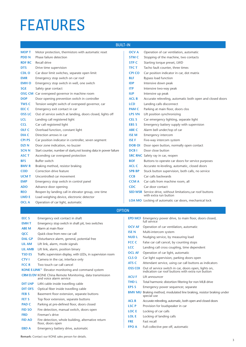# FEATURES

### **BUILT-II**

| <b>MOP T</b>     | Motor protection, thermistors with automatic reset                 | <b>OCVA</b>   | Operation of car ventilation, automatic                            |
|------------------|--------------------------------------------------------------------|---------------|--------------------------------------------------------------------|
| <b>PDDN</b>      | Phase failure detection                                            | <b>STMC</b>   | Stopping of the machine, two contacts                              |
| <b>RDF RC</b>    | Recall drive                                                       | <b>STP C</b>  | Starting torque preset, LWD                                        |
| <b>DTS</b>       | Drive time supervision                                             | <b>TFC T</b>  | Tacho fault counter, three times                                   |
| <b>CDLO</b>      | Car door limit switches, separate open limit                       | <b>CPI CO</b> | Car position indicator in car, dot matrix                          |
| <b>EMR</b>       | Emergency stop switch on car roof                                  | <b>BLF</b>    | Bypass load function                                               |
| <b>EMHO</b>      | Emergency stop switch in well, one switch                          | <b>IDP</b>    | Intensive down peak                                                |
| <b>SGE</b>       | Safety gear contact                                                | <b>ITP</b>    | Intensive two-way peak                                             |
|                  | <b>OSG CM</b> Car overspeed governor in machine room               | <b>IUP</b>    | Intensive up peak                                                  |
| <b>DOP</b>       | Door opening prevention switch in controller                       | <b>ACL B</b>  | Accurate releveling, automatic both open and cl                    |
| <b>TWS C</b>     | Tension weight switch of overspeed governor, car                   | <b>LCD</b>    | Landing calls disconnect                                           |
| EEC <sub>C</sub> | Emergency exit contact in car                                      | <b>PAM C</b>  | Parking at main floor, doors clos                                  |
| <b>OSS LC</b>    | Out of service switch at landing, doors closed, lights off         | <b>LPS VN</b> | Lift position synchronizing                                        |
| <b>LCL</b>       | Landing call registered light                                      | <b>CEL S</b>  | Car emergency lighting, separate light                             |
| <b>CCL</b>       | Car call registered light                                          | <b>EBS S</b>  | Emergency battery supply with supervision                          |
| <b>OLF C</b>     | Overload function, constant light                                  | <b>ABE C</b>  | Alarm bell under/top of car                                        |
| <b>DIA C</b>     | Direction arrows in car                                            | <b>ISEM</b>   | Emergency intercom                                                 |
| <b>CPI PS</b>    | Car position indicator in controller, seven segment                | <b>ISE F</b>  | Five-way intercom system                                           |
| <b>DZIN</b>      | Door zone indication, no buzzer                                    | <b>DOB OI</b> | Door open button, normally open contact                            |
| <b>SCN N</b>     | Start counter, number of starts, not loosing data in power failure | <b>DCBI</b>   | Door close button                                                  |
| <b>ASC T</b>     | Ascending car overspeed protection                                 |               | <b>SRC RNC</b> Safety ray in car, reopen                           |
| <b>BFS</b>       | Buffer switch                                                      | <b>BOF</b>    | Buttons to operate car doors for service purpose                   |
| <b>BMVR</b>      | Braking method, resistor braking                                   | <b>ACL C</b>  | Accurate re-leveling, automatic, closed doors                      |
| <b>COD</b>       | Correction drive feature                                           | <b>SPB BP</b> | Stuck button supervision, both calls, no service                   |
| <b>UCM T</b>     | Uncontrolled car movement                                          | <b>CCB</b>    | Car calls backwards                                                |
| <b>EMP</b>       | Emergency stop switch in control panel                             | <b>CCMA</b>   | Car calls from machine room, all                                   |
| <b>ADO</b>       | Advance door opening                                               | <b>CDC</b>    | Car door contact                                                   |
| <b>REO</b>       | Reopen by landing call in elevator group, one time                 |               | <b>SED WSR</b> Service drive, without limitations, car roof button |
| <b>LWD E</b>     | Load weighing device, electronic detector                          |               | with extra run button                                              |
| <b>OCLA</b>      | Operation of car light, automatic                                  |               | LOA MO Locking of automatic car doors, mechanical lock             |

| √             |                                                                                              |
|---------------|----------------------------------------------------------------------------------------------|
| OCV A         | Operation of car ventilation, automatic                                                      |
| STM C         | Stopping of the machine, two contacts                                                        |
| STP C         | Starting torque preset, LWD                                                                  |
| TFC T         | Tacho fault counter, three times                                                             |
| CPI CO        | Car position indicator in car, dot matrix                                                    |
| BLF           | Bypass load function                                                                         |
| <b>IDP</b>    | Intensive down peak                                                                          |
| <b>ITP</b>    | Intensive two-way peak                                                                       |
| <b>IUP</b>    | Intensive up peak                                                                            |
| <b>ACL B</b>  | Accurate releveling, automatic both open and closed doors                                    |
| <b>LCD</b>    | Landing calls disconnect                                                                     |
| <b>PAM C</b>  | Parking at main floor, doors clos                                                            |
| <b>LPS VN</b> | Lift position synchronizing                                                                  |
| <b>CEL S</b>  | Car emergency lighting, separate light                                                       |
| EBS S         | Emergency battery supply with supervision                                                    |
| <b>ABE C</b>  | Alarm bell under/top of car                                                                  |
| <b>ISEM</b>   | Emergency intercom                                                                           |
| <b>ISE F</b>  | Five-way intercom system                                                                     |
| <b>DOB OI</b> | Door open button, normally open contact                                                      |
| <b>DCBI</b>   | Door close button                                                                            |
|               | <b>SRC RNC</b> Safety ray in car, reopen                                                     |
| <b>BOF</b>    | Buttons to operate car doors for service purposes                                            |
| <b>ACL C</b>  | Accurate re-leveling, automatic, closed doors                                                |
| <b>SPB BP</b> | Stuck button supervision, both calls, no service                                             |
| <b>CCB</b>    | Car calls backwards                                                                          |
| <b>CCM A</b>  | Car calls from machine room, all                                                             |
| <b>CDC</b>    | Car door contact                                                                             |
|               | <b>SED WSR</b> Service drive, without limitations, car roof buttons<br>with extra run button |

OPTION

| <b>FFC S</b>   | Emergency exit contact in shaft                                                            |  |  |  |  |
|----------------|--------------------------------------------------------------------------------------------|--|--|--|--|
| <b>EMHT</b>    | Emergency stop switch in shaft pit, two switches                                           |  |  |  |  |
| <b>ABE M</b>   | Alarm at main floor                                                                        |  |  |  |  |
| <b>OCC</b>     | Ouick close from new car call                                                              |  |  |  |  |
| <b>DAL GP</b>  | Disturbance alarm, general, potential free                                                 |  |  |  |  |
| LIL AM         | Lift link, alarm, mode signals                                                             |  |  |  |  |
| <b>LIL AMB</b> | Lift link, alarm, position binary                                                          |  |  |  |  |
| <b>TSD ES</b>  | Traffic supervision display, with LEDs, in supervision room                                |  |  |  |  |
| <b>CTVI</b>    | Camera in the car, interface only                                                          |  |  |  |  |
| <b>FCC R</b>   | Two touch car call cancel                                                                  |  |  |  |  |
|                | KONE E-LINK™ Elevator monitoring and command system                                        |  |  |  |  |
|                | <b>CRM D/DV KONE China Remote Monitoring, data transmission</b><br>and voice alarm service |  |  |  |  |
| <b>DIT LNP</b> | LAN cable inside travelling cable                                                          |  |  |  |  |
| <b>DIT OFS</b> | Optical fiber inside travelling cable                                                      |  |  |  |  |
| <b>FEB S</b>   | Basement floor extension, separate buttons                                                 |  |  |  |  |
| <b>FET S</b>   | Top floor extension, separate buttons                                                      |  |  |  |  |
| <b>PAD C</b>   | Parking at pre-defined floor, doors closed                                                 |  |  |  |  |
| <b>FID SO</b>  | Fire detection, manual switch, doors open                                                  |  |  |  |  |
| <b>FRD</b>     | Fireman's drive                                                                            |  |  |  |  |
| <b>FID AO</b>  | Fire detection, whole building, alternative return<br>floor, doors open                    |  |  |  |  |
| <b>EBD A</b>   | Emergency battery drive, automatic                                                         |  |  |  |  |

|                | <b>EPD MCF</b> Emergency power drive, to main floor, doors closed,<br>full service                        |
|----------------|-----------------------------------------------------------------------------------------------------------|
| <b>OCV AF</b>  | Operation of car ventilation, automatic                                                                   |
| <b>ISEN</b>    | Multi-intercom system                                                                                     |
| <b>NUD L</b>   | Nudging service, by measuring load                                                                        |
| <b>FCC C</b>   | False car call cancel, by counting stops                                                                  |
| <b>LCC</b>     | Landing call cross coupling, time dependent                                                               |
| <b>OCL AF</b>  | Operation of car light, automatic                                                                         |
| <b>CLS O</b>   | Car light supervision, parking doors open                                                                 |
| ATS C          | Attendant service, using car call buttons as indicators                                                   |
| <b>OSS COI</b> | Out of service switch in car, doors open, lights on,<br>indication car roof buttons with extra run button |
| <b>ACUF</b>    | Lift announcer                                                                                            |
| <b>THD L</b>   | Total harmonic distortion filtering for non MLB drive                                                     |
| <b>EPS S</b>   | Emergency power sequencer, separate                                                                       |
| <b>BMV MU</b>  | Braking method, modulated line braking, resistor braking under<br>special use                             |
| <b>ACL B</b>   | Accurate releveling, automatic, both open and closed doors                                                |
| <b>LSCP</b>    | Provision for loudspeaker in car                                                                          |
| <b>LOCE</b>    | Locking of car calls                                                                                      |
| <b>LOL E</b>   | Locking of landing calls                                                                                  |
| <b>FRE</b>     | <b>Fast recall</b>                                                                                        |
| <b>FPO A</b>   | Full collective pee off, automatic                                                                        |
|                |                                                                                                           |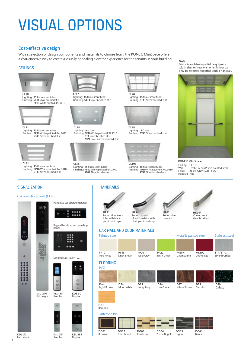# VISUAL OPTIONS

### Cost-effective design

With a selection of design components and materials to choose from, the KONE E MiniSpace offers a cost-effective way to create a visually appealing elevator experience for the tenants in your building.

### CEILINGS



Lighting: **T5** fluorescent tubes Finishing: **ST43** Silver brushed st st **PP10** White painted RAL9010



**CL71** Lighting: **T5** fluorescent tubes<br>Finishing: **PP10** White painted RAL9010<br>**ST43** Silver brushed st st



Lighting: T5 fluorescent tubes Finishing: **PP10** White painted RAL9010 **ST43** Silver brushed st st



Lighting: **T5** fluorescent tubes<br>Finishing: **ST43** Silver brushed st st



**CL80** Lighting: **Led** spot Finishing: **PP10** White painted RAL9010 **ST4** Silver brushed st st **MP1** Silver mirror polished st st



Lighting: **T5** fluorescent tubes Finishing: **PP10** White painted RAL9010 **ST43** Silver brushed st st



Lighting: T5 fluorescent tubes<br>Finishing: ST43 Silver brushed st st



**CL88** Lighting: **LED** spot Finishing: **ST43** Silver brushed st st



Lighting: **T5** fluorescent tubes Finishing: **PP10** White painted RAL9010 **ST43** Silver brushed st st

### **Note:**

Mirror is available in partial height/midwidth size, on rear wall only. Mirror can only be selected together with a handrail.



**KONE E MiniSpace** Ceiling: CL 103 Wall: Fresh Green (PP22) painted steel Floor: Rocky Gray (D25) PVC Handrail: HR31

## **SIGNALIZATION**

#### Car operating panel (COP)



| nanel |  |
|-------|--|

 $\mathbf{a}$ 

高南

**RS** 

Xa

**HR31** Round aluminium tube with black plastic end caps

**HANDRAILS** 

CAR WALL AND DOOR MATERIALS

**HR34** Round curved aluminium tube with black plastic end caps

Puzzle Soft







Curved ends silver brushed

Blusher

|                               |                               | <u>UAIN MALL AND DOUN PIALLINALU</u> |                               |                                 |                                |                            |
|-------------------------------|-------------------------------|--------------------------------------|-------------------------------|---------------------------------|--------------------------------|----------------------------|
| <b>Painted steel</b>          |                               |                                      |                               | Metallic panted steel           |                                | <b>Stainless steel</b>     |
|                               |                               |                                      |                               |                                 |                                |                            |
| <b>PP10</b><br>Pure White     | <b>PP18</b><br>Linen Brown    | <b>PP20</b><br>Wool Gray             | <b>PP22</b><br>Fresh Green    | METP1<br>Champagne              | METP <sub>2</sub><br>Cosmo Red | ST4/ST43<br>Silver brushed |
| <b>FLOORING</b><br><b>PVC</b> |                               |                                      |                               |                                 |                                |                            |
|                               |                               |                                      |                               |                                 |                                |                            |
| $D-6$<br>Light Brown          | D <sub>24</sub><br>Moon White | D <sub>25</sub><br>Rocky Gray        | D <sub>26</sub><br>Lava Stone | D <sub>27</sub><br>Saturn Brown | D <sub>29</sub><br>Mars Red    | D30<br>Galaxy              |
|                               |                               |                                      |                               |                                 |                                |                            |
| D31<br>Bamboo                 |                               |                                      |                               |                                 |                                |                            |
| <b>Patterned PVC</b>          |                               |                                      |                               |                                 |                                |                            |
|                               |                               |                                      |                               |                                 |                                |                            |
| <b>DG01</b>                   | <b>DG02</b>                   | DG03                                 | DC <sub>04</sub>              | <b>DG05</b>                     | DG06                           |                            |

Puzzle Bright

Legno

Browny **DG02** Chessboard